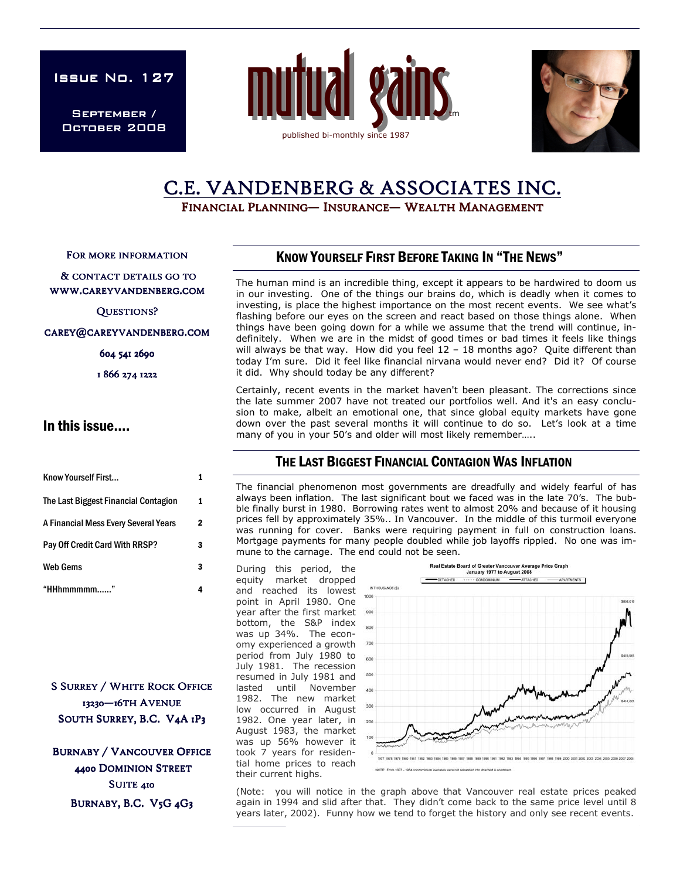ISSUE No. 127

September / October 2008





# C.E. VANDENBERG & ASSOCIATES INC.

FINANCIAL PLANNING— INSURANCE— WEALTH MANAGEMENT

FOR MORE INFORMATION

& CONTACT DETAILS GO TO WWW.CAREYVANDENBERG.COM

QUESTIONS?

CAREY@CAREYVANDENBERG.COM

604 541 2690

1 866 274 1222

#### In this issue….

| Know Yourself First                  |   |
|--------------------------------------|---|
| The Last Biggest Financial Contagion | 1 |
| A Financial Mess Every Several Years | 2 |
| Pay Off Credit Card With RRSP?       | 3 |
| <b>Web Gems</b>                      | 3 |
| "HHhmmmmm"                           |   |

**S SURREY / WHITE ROCK OFFICE** 13230-16TH AVENUE SOUTH SURREY, B.C. V4A 1P3

**BURNABY / VANCOUVER OFFICE** 4400 DOMINION STREET SUITE 410 BURNABY, B.C. V5G 4G3

### KNOW YOURSELF FIRST BEFORE TAKING IN "THE NEWS"

The human mind is an incredible thing, except it appears to be hardwired to doom us in our investing. One of the things our brains do, which is deadly when it comes to investing, is place the highest importance on the most recent events. We see what's flashing before our eyes on the screen and react based on those things alone. When things have been going down for a while we assume that the trend will continue, indefinitely. When we are in the midst of good times or bad times it feels like things will always be that way. How did you feel 12 – 18 months ago? Quite different than today I'm sure. Did it feel like financial nirvana would never end? Did it? Of course it did. Why should today be any different?

Certainly, recent events in the market haven't been pleasant. The corrections since the late summer 2007 have not treated our portfolios well. And it's an easy conclusion to make, albeit an emotional one, that since global equity markets have gone down over the past several months it will continue to do so. Let's look at a time many of you in your 50's and older will most likely remember…..

#### THE LAST BIGGEST FINANCIAL CONTAGION WAS INFLATION

The financial phenomenon most governments are dreadfully and widely fearful of has always been inflation. The last significant bout we faced was in the late 70's. The bubble finally burst in 1980. Borrowing rates went to almost 20% and because of it housing prices fell by approximately 35%.. In Vancouver. In the middle of this turmoil everyone was running for cover. Banks were requiring payment in full on construction loans. Mortgage payments for many people doubled while job layoffs rippled. No one was immune to the carnage. The end could not be seen.

During this period, the equity market dropped and reached its lowest point in April 1980. One year after the first market bottom, the S&P index was up 34%. The economy experienced a growth period from July 1980 to July 1981. The recession resumed in July 1981 and lasted until November 1982. The new market low occurred in August 1982. One year later, in August 1983, the market was up 56% however it took 7 years for residential home prices to reach their current highs.



(Note: you will notice in the graph above that Vancouver real estate prices peaked again in 1994 and slid after that. They didn't come back to the same price level until 8 years later, 2002). Funny how we tend to forget the history and only see recent events.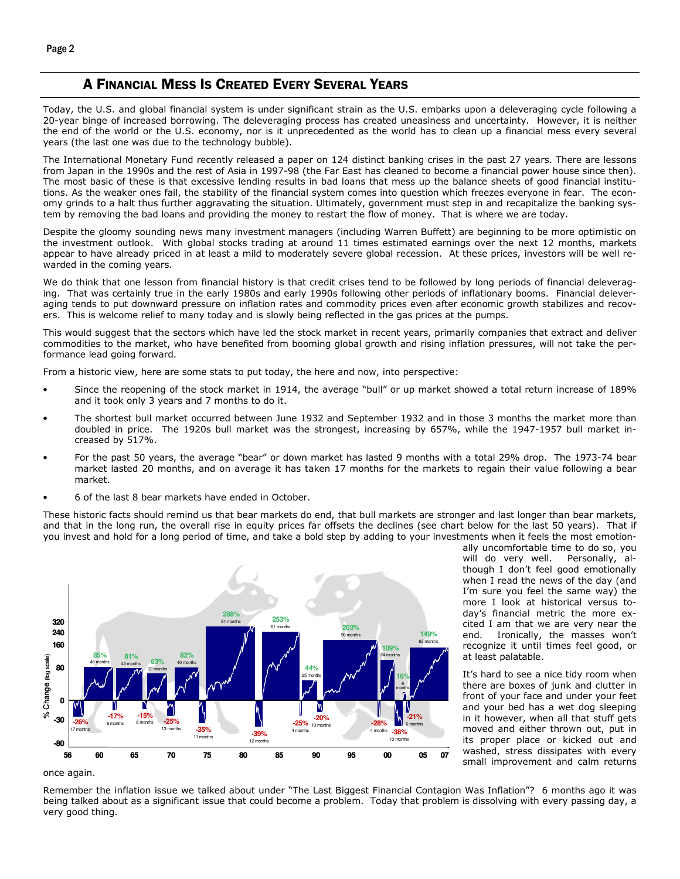#### A FINANCIAL MESS IS CREATED EVERY SEVERAL YEARS

Today, the U.S. and global financial system is under significant strain as the U.S. embarks upon a deleveraging cycle following a 20-year binge of increased borrowing. The deleveraging process has created uneasiness and uncertainty. However, it is neither the end of the world or the U.S. economy, nor is it unprecedented as the world has to clean up a financial mess every several years (the last one was due to the technology bubble).

The International Monetary Fund recently released a paper on 124 distinct banking crises in the past 27 years. There are lessons from Japan in the 1990s and the rest of Asia in 1997-98 (the Far East has cleaned to become a financial power house since then). The most basic of these is that excessive lending results in bad loans that mess up the balance sheets of good financial institutions. As the weaker ones fail, the stability of the financial system comes into question which freezes everyone in fear. The economy grinds to a halt thus further aggravating the situation. Ultimately, government must step in and recapitalize the banking system by removing the bad loans and providing the money to restart the flow of money. That is where we are today.

Despite the gloomy sounding news many investment managers (including Warren Buffett) are beginning to be more optimistic on the investment outlook. With global stocks trading at around 11 times estimated earnings over the next 12 months, markets appear to have already priced in at least a mild to moderately severe global recession. At these prices, investors will be well rewarded in the coming years.

We do think that one lesson from financial history is that credit crises tend to be followed by long periods of financial deleveraging. That was certainly true in the early 1980s and early 1990s following other periods of inflationary booms. Financial deleveraging tends to put downward pressure on inflation rates and commodity prices even after economic growth stabilizes and recovers. This is welcome relief to many today and is slowly being reflected in the gas prices at the pumps.

This would suggest that the sectors which have led the stock market in recent years, primarily companies that extract and deliver commodities to the market, who have benefited from booming global growth and rising inflation pressures, will not take the performance lead going forward.

From a historic view, here are some stats to put today, the here and now, into perspective:

- Since the reopening of the stock market in 1914, the average "bull" or up market showed a total return increase of 189% and it took only 3 years and 7 months to do it.
- The shortest bull market occurred between June 1932 and September 1932 and in those 3 months the market more than doubled in price. The 1920s bull market was the strongest, increasing by 657%, while the 1947-1957 bull market increased by 517%.
- For the past 50 years, the average "bear" or down market has lasted 9 months with a total 29% drop. The 1973-74 bear market lasted 20 months, and on average it has taken 17 months for the markets to regain their value following a bear market.
- 6 of the last 8 bear markets have ended in October.

These historic facts should remind us that bear markets do end, that bull markets are stronger and last longer than bear markets, and that in the long run, the overall rise in equity prices far offsets the declines (see chart below for the last 50 years). That if you invest and hold for a long period of time, and take a bold step by adding to your investments when it feels the most emotion-



ally uncomfortable time to do so, you will do very well. Personally, although I don't feel good emotionally when I read the news of the day (and I'm sure you feel the same way) the more I look at historical versus today's financial metric the more excited I am that we are very near the end. Ironically, the masses won't recognize it until times feel good, or at least palatable.

It's hard to see a nice tidy room when there are boxes of junk and clutter in front of your face and under your feet and your bed has a wet dog sleeping in it however, when all that stuff gets moved and either thrown out, put in its proper place or kicked out and washed, stress dissipates with every small improvement and calm returns

once again.

Remember the inflation issue we talked about under "The Last Biggest Financial Contagion Was Inflation"? 6 months ago it was being talked about as a significant issue that could become a problem. Today that problem is dissolving with every passing day, a very good thing.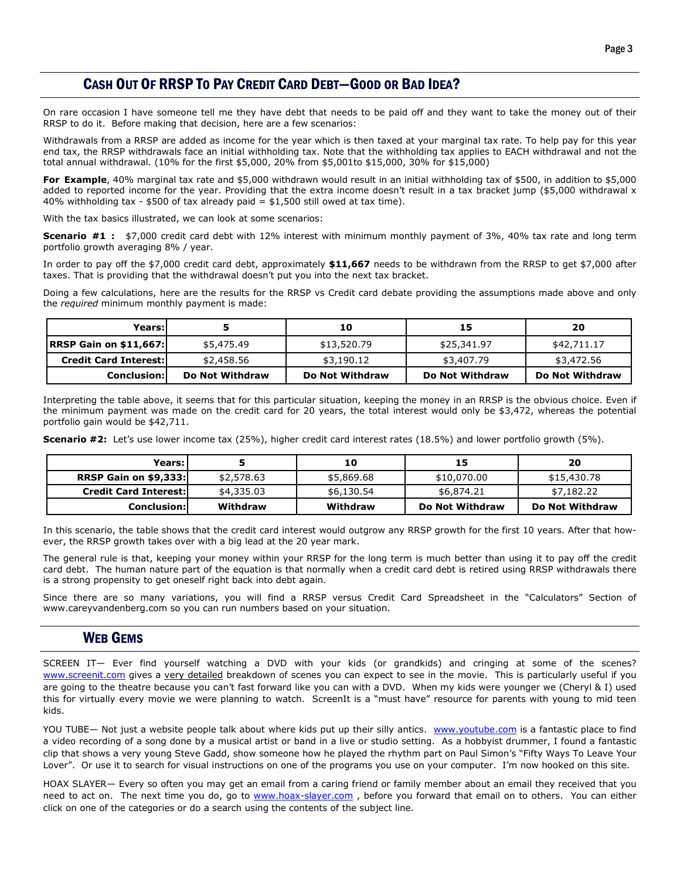# CASH OUT OF RRSP TO PAY CREDIT CARD DEBT—GOOD OR BAD IDEA?

On rare occasion I have someone tell me they have debt that needs to be paid off and they want to take the money out of their RRSP to do it. Before making that decision, here are a few scenarios:

Withdrawals from a RRSP are added as income for the year which is then taxed at your marginal tax rate. To help pay for this year end tax, the RRSP withdrawals face an initial withholding tax. Note that the withholding tax applies to EACH withdrawal and not the total annual withdrawal. (10% for the first \$5,000, 20% from \$5,001to \$15,000, 30% for \$15,000)

For Example, 40% marginal tax rate and \$5,000 withdrawn would result in an initial withholding tax of \$500, in addition to \$5,000 added to reported income for the year. Providing that the extra income doesn't result in a tax bracket jump (\$5,000 withdrawal x 40% withholding tax -  $$500$  of tax already paid =  $$1,500$  still owed at tax time).

With the tax basics illustrated, we can look at some scenarios:

Scenario #1 : \$7,000 credit card debt with 12% interest with minimum monthly payment of 3%, 40% tax rate and long term portfolio growth averaging 8% / year.

In order to pay off the \$7,000 credit card debt, approximately \$11,667 needs to be withdrawn from the RRSP to get \$7,000 after taxes. That is providing that the withdrawal doesn't put you into the next tax bracket.

Doing a few calculations, here are the results for the RRSP vs Credit card debate providing the assumptions made above and only the required minimum monthly payment is made:

| Years:l                       |                 | 10              | 15              | 20              |
|-------------------------------|-----------------|-----------------|-----------------|-----------------|
| <b>RRSP Gain on \$11,667:</b> | \$5,475.49      | \$13,520.79     | \$25,341.97     | \$42,711.17     |
| <b>Credit Card Interest:</b>  | \$2,458.56      | \$3,190.12      | \$3,407.79      | \$3,472.56      |
| <b>Conclusion:</b>            | Do Not Withdraw | Do Not Withdraw | Do Not Withdraw | Do Not Withdraw |

Interpreting the table above, it seems that for this particular situation, keeping the money in an RRSP is the obvious choice. Even if the minimum payment was made on the credit card for 20 years, the total interest would only be \$3,472, whereas the potential portfolio gain would be \$42,711.

Scenario #2: Let's use lower income tax (25%), higher credit card interest rates (18.5%) and lower portfolio growth (5%).

| Years:                       |            | 10         |                 | 20              |
|------------------------------|------------|------------|-----------------|-----------------|
| <b>RRSP Gain on \$9,333:</b> | \$2,578.63 | \$5,869.68 | \$10,070.00     | \$15,430.78     |
| <b>Credit Card Interest:</b> | \$4,335.03 | \$6,130.54 | \$6,874.21      | \$7,182.22      |
| <b>Conclusion:</b>           | Withdraw   | Withdraw   | Do Not Withdraw | Do Not Withdraw |

In this scenario, the table shows that the credit card interest would outgrow any RRSP growth for the first 10 years. After that however, the RRSP growth takes over with a big lead at the 20 year mark.

The general rule is that, keeping your money within your RRSP for the long term is much better than using it to pay off the credit card debt. The human nature part of the equation is that normally when a credit card debt is retired using RRSP withdrawals there is a strong propensity to get oneself right back into debt again.

Since there are so many variations, you will find a RRSP versus Credit Card Spreadsheet in the "Calculators" Section of www.careyvandenberg.com so you can run numbers based on your situation.

#### WEB GEMS

SCREEN IT— Ever find yourself watching a DVD with your kids (or grandkids) and cringing at some of the scenes? www.screenit.com gives a very detailed breakdown of scenes you can expect to see in the movie. This is particularly useful if you are going to the theatre because you can't fast forward like you can with a DVD. When my kids were younger we (Cheryl & I) used this for virtually every movie we were planning to watch. ScreenIt is a "must have" resource for parents with young to mid teen kids.

YOU TUBE— Not just a website people talk about where kids put up their silly antics. www.youtube.com is a fantastic place to find a video recording of a song done by a musical artist or band in a live or studio setting. As a hobbyist drummer, I found a fantastic clip that shows a very young Steve Gadd, show someone how he played the rhythm part on Paul Simon's "Fifty Ways To Leave Your Lover". Or use it to search for visual instructions on one of the programs you use on your computer. I'm now hooked on this site.

HOAX SLAYER— Every so often you may get an email from a caring friend or family member about an email they received that you need to act on. The next time you do, go to www.hoax-slayer.com, before you forward that email on to others. You can either click on one of the categories or do a search using the contents of the subject line.